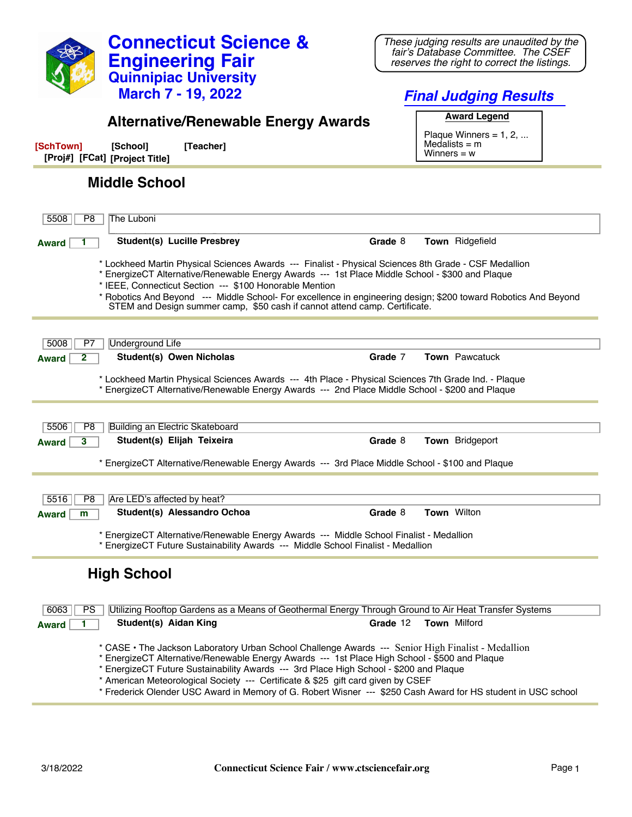

**Connecticut Science &**

*These judging results are unaudited by the fair's Database Committee. The CSEF*